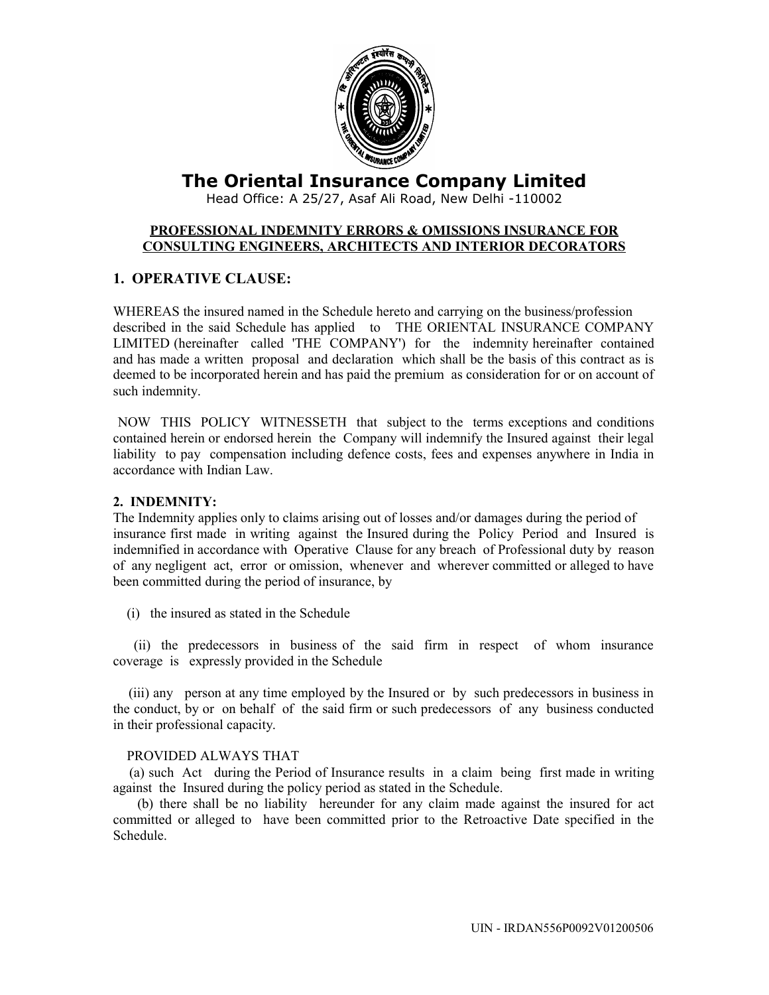

# **The Oriental Insurance Company Limited**

Head Office: A 25/27, Asaf Ali Road, New Delhi -110002

### **PROFESSIONAL INDEMNITY ERRORS & OMISSIONS INSURANCE FOR CONSULTING ENGINEERS, ARCHITECTS AND INTERIOR DECORATORS**

# **1. OPERATIVE CLAUSE:**

WHEREAS the insured named in the Schedule hereto and carrying on the business/profession described in the said Schedule has applied to THE ORIENTAL INSURANCE COMPANY LIMITED (hereinafter called 'THE COMPANY') for the indemnity hereinafter contained and has made a written proposal and declaration which shall be the basis of this contract as is deemed to be incorporated herein and has paid the premium as consideration for or on account of such indemnity.

 NOW THIS POLICY WITNESSETH that subject to the terms exceptions and conditions contained herein or endorsed herein the Company will indemnify the Insured against their legal liability to pay compensation including defence costs, fees and expenses anywhere in India in accordance with Indian Law.

# **2. INDEMNITY:**

The Indemnity applies only to claims arising out of losses and/or damages during the period of insurance first made in writing against the Insured during the Policy Period and Insured is indemnified in accordance with Operative Clause for any breach of Professional duty by reason of any negligent act, error or omission, whenever and wherever committed or alleged to have been committed during the period of insurance, by

(i) the insured as stated in the Schedule

 (ii) the predecessors in business of the said firm in respect of whom insurance coverage is expressly provided in the Schedule

 (iii) any person at any time employed by the Insured or by such predecessors in business in the conduct, by or on behalf of the said firm or such predecessors of any business conducted in their professional capacity.

### PROVIDED ALWAYS THAT

 (a) such Act during the Period of Insurance results in a claim being first made in writing against the Insured during the policy period as stated in the Schedule.

 (b) there shall be no liability hereunder for any claim made against the insured for act committed or alleged to have been committed prior to the Retroactive Date specified in the Schedule.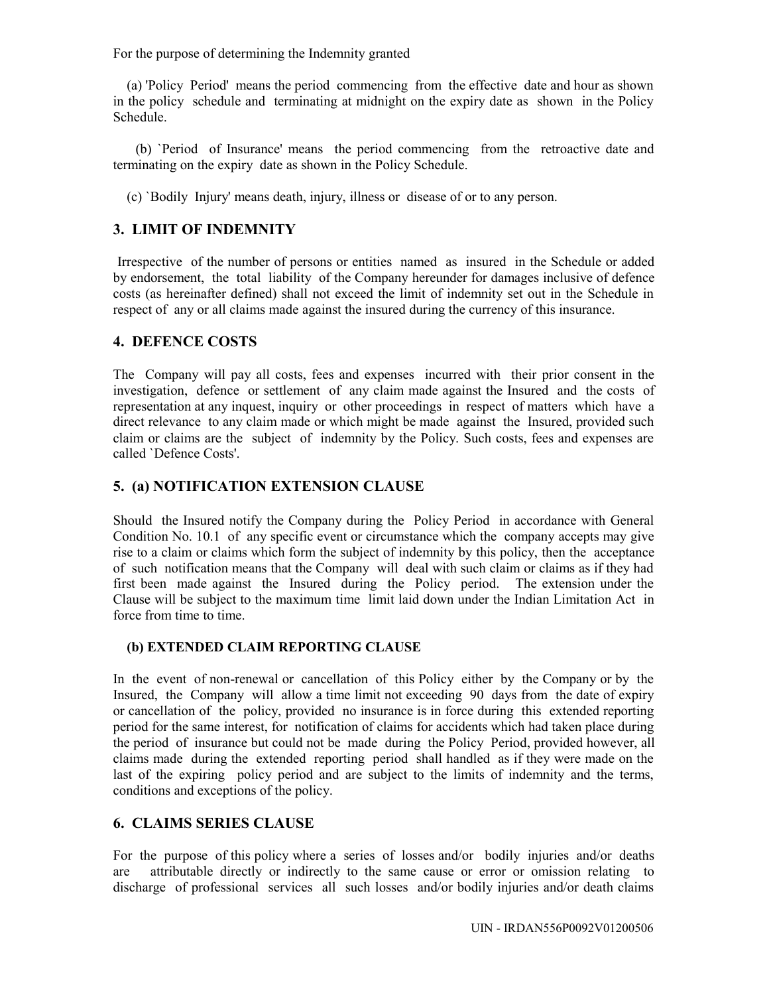For the purpose of determining the Indemnity granted

 (a) 'Policy Period' means the period commencing from the effective date and hour as shown in the policy schedule and terminating at midnight on the expiry date as shown in the Policy Schedule.

 (b) `Period of Insurance' means the period commencing from the retroactive date and terminating on the expiry date as shown in the Policy Schedule.

(c) `Bodily Injury' means death, injury, illness or disease of or to any person.

# **3. LIMIT OF INDEMNITY**

 Irrespective of the number of persons or entities named as insured in the Schedule or added by endorsement, the total liability of the Company hereunder for damages inclusive of defence costs (as hereinafter defined) shall not exceed the limit of indemnity set out in the Schedule in respect of any or all claims made against the insured during the currency of this insurance.

## **4. DEFENCE COSTS**

The Company will pay all costs, fees and expenses incurred with their prior consent in the investigation, defence or settlement of any claim made against the Insured and the costs of representation at any inquest, inquiry or other proceedings in respect of matters which have a direct relevance to any claim made or which might be made against the Insured, provided such claim or claims are the subject of indemnity by the Policy. Such costs, fees and expenses are called `Defence Costs'.

# **5. (a) NOTIFICATION EXTENSION CLAUSE**

Should the Insured notify the Company during the Policy Period in accordance with General Condition No. 10.1 of any specific event or circumstance which the company accepts may give rise to a claim or claims which form the subject of indemnity by this policy, then the acceptance of such notification means that the Company will deal with such claim or claims as if they had first been made against the Insured during the Policy period. The extension under the Clause will be subject to the maximum time limit laid down under the Indian Limitation Act in force from time to time.

### **(b) EXTENDED CLAIM REPORTING CLAUSE**

In the event of non-renewal or cancellation of this Policy either by the Company or by the Insured, the Company will allow a time limit not exceeding 90 days from the date of expiry or cancellation of the policy, provided no insurance is in force during this extended reporting period for the same interest, for notification of claims for accidents which had taken place during the period of insurance but could not be made during the Policy Period, provided however, all claims made during the extended reporting period shall handled as if they were made on the last of the expiring policy period and are subject to the limits of indemnity and the terms, conditions and exceptions of the policy.

## **6. CLAIMS SERIES CLAUSE**

For the purpose of this policy where a series of losses and/or bodily injuries and/or deaths are attributable directly or indirectly to the same cause or error or omission relating to discharge of professional services all such losses and/or bodily injuries and/or death claims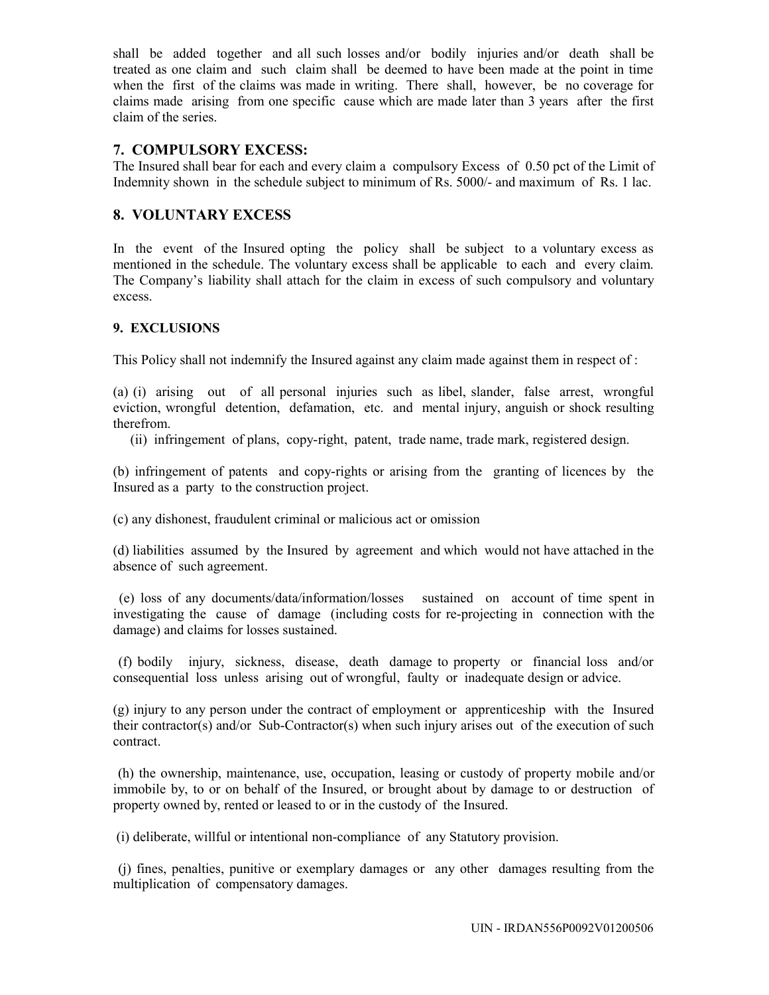shall be added together and all such losses and/or bodily injuries and/or death shall be treated as one claim and such claim shall be deemed to have been made at the point in time when the first of the claims was made in writing. There shall, however, be no coverage for claims made arising from one specific cause which are made later than 3 years after the first claim of the series.

# **7. COMPULSORY EXCESS:**

The Insured shall bear for each and every claim a compulsory Excess of 0.50 pct of the Limit of Indemnity shown in the schedule subject to minimum of Rs. 5000/- and maximum of Rs. 1 lac.

# **8. VOLUNTARY EXCESS**

In the event of the Insured opting the policy shall be subject to a voluntary excess as mentioned in the schedule. The voluntary excess shall be applicable to each and every claim. The Company's liability shall attach for the claim in excess of such compulsory and voluntary excess.

## **9. EXCLUSIONS**

This Policy shall not indemnify the Insured against any claim made against them in respect of :

(a) (i) arising out of all personal injuries such as libel, slander, false arrest, wrongful eviction, wrongful detention, defamation, etc. and mental injury, anguish or shock resulting therefrom.

(ii) infringement of plans, copy-right, patent, trade name, trade mark, registered design.

(b) infringement of patents and copy-rights or arising from the granting of licences by the Insured as a party to the construction project.

(c) any dishonest, fraudulent criminal or malicious act or omission

(d) liabilities assumed by the Insured by agreement and which would not have attached in the absence of such agreement.

 (e) loss of any documents/data/information/losses sustained on account of time spent in investigating the cause of damage (including costs for re-projecting in connection with the damage) and claims for losses sustained.

 (f) bodily injury, sickness, disease, death damage to property or financial loss and/or consequential loss unless arising out of wrongful, faulty or inadequate design or advice.

(g) injury to any person under the contract of employment or apprenticeship with the Insured their contractor(s) and/or Sub-Contractor(s) when such injury arises out of the execution of such contract.

 (h) the ownership, maintenance, use, occupation, leasing or custody of property mobile and/or immobile by, to or on behalf of the Insured, or brought about by damage to or destruction of property owned by, rented or leased to or in the custody of the Insured.

(i) deliberate, willful or intentional non-compliance of any Statutory provision.

 (j) fines, penalties, punitive or exemplary damages or any other damages resulting from the multiplication of compensatory damages.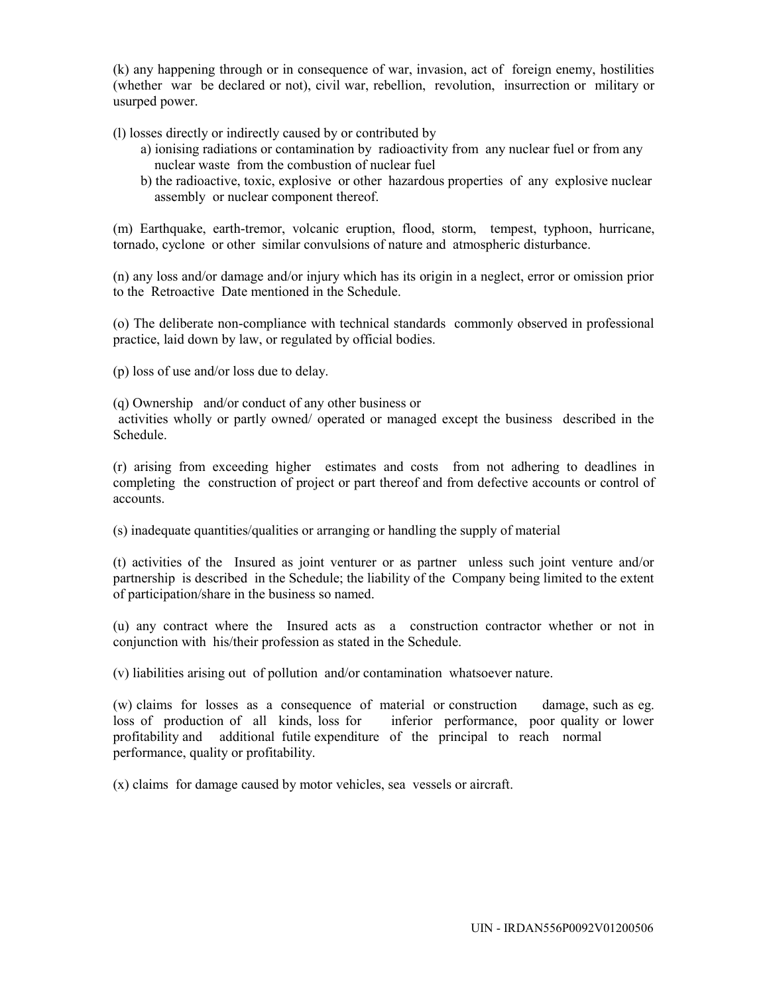(k) any happening through or in consequence of war, invasion, act of foreign enemy, hostilities (whether war be declared or not), civil war, rebellion, revolution, insurrection or military or usurped power.

(l) losses directly or indirectly caused by or contributed by

- a) ionising radiations or contamination by radioactivity from any nuclear fuel or from any nuclear waste from the combustion of nuclear fuel
- b) the radioactive, toxic, explosive or other hazardous properties of any explosive nuclear assembly or nuclear component thereof.

(m) Earthquake, earth-tremor, volcanic eruption, flood, storm, tempest, typhoon, hurricane, tornado, cyclone or other similar convulsions of nature and atmospheric disturbance.

(n) any loss and/or damage and/or injury which has its origin in a neglect, error or omission prior to the Retroactive Date mentioned in the Schedule.

(o) The deliberate non-compliance with technical standards commonly observed in professional practice, laid down by law, or regulated by official bodies.

(p) loss of use and/or loss due to delay.

(q) Ownership and/or conduct of any other business or

 activities wholly or partly owned/ operated or managed except the business described in the Schedule.

(r) arising from exceeding higher estimates and costs from not adhering to deadlines in completing the construction of project or part thereof and from defective accounts or control of accounts.

(s) inadequate quantities/qualities or arranging or handling the supply of material

(t) activities of the Insured as joint venturer or as partner unless such joint venture and/or partnership is described in the Schedule; the liability of the Company being limited to the extent of participation/share in the business so named.

(u) any contract where the Insured acts as a construction contractor whether or not in conjunction with his/their profession as stated in the Schedule.

(v) liabilities arising out of pollution and/or contamination whatsoever nature.

(w) claims for losses as a consequence of material or construction damage, such as eg. loss of production of all kinds, loss for inferior performance, poor quality or lower profitability and additional futile expenditure of the principal to reach normal performance, quality or profitability.

(x) claims for damage caused by motor vehicles, sea vessels or aircraft.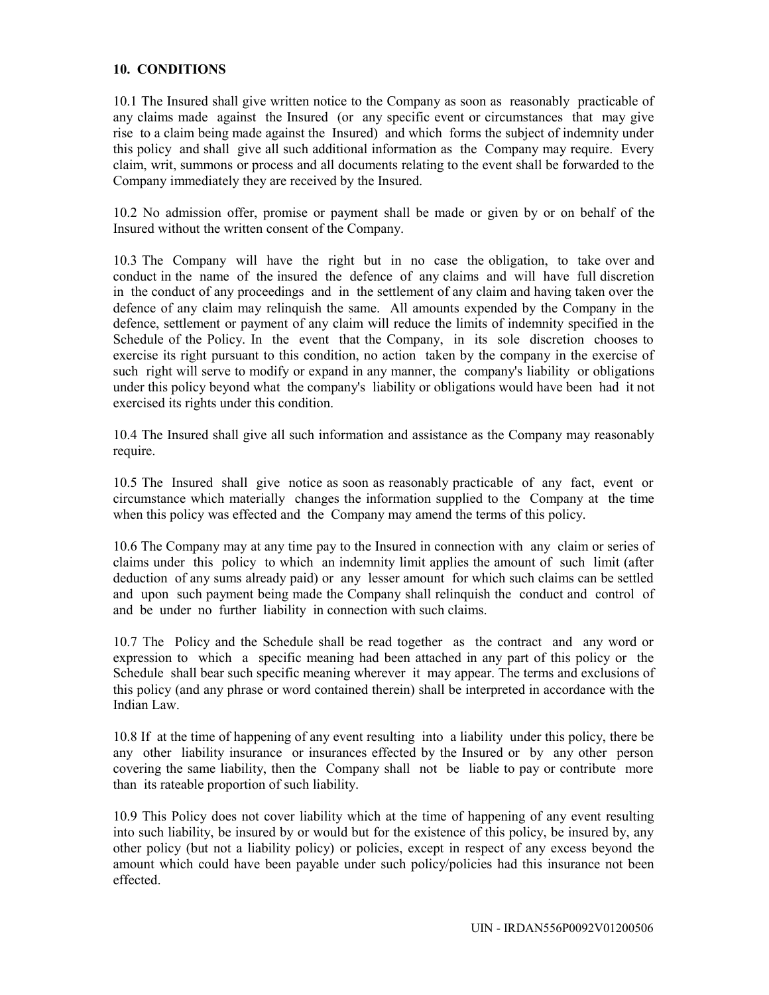### **10. CONDITIONS**

10.1 The Insured shall give written notice to the Company as soon as reasonably practicable of any claims made against the Insured (or any specific event or circumstances that may give rise to a claim being made against the Insured) and which forms the subject of indemnity under this policy and shall give all such additional information as the Company may require. Every claim, writ, summons or process and all documents relating to the event shall be forwarded to the Company immediately they are received by the Insured.

10.2 No admission offer, promise or payment shall be made or given by or on behalf of the Insured without the written consent of the Company.

10.3 The Company will have the right but in no case the obligation, to take over and conduct in the name of the insured the defence of any claims and will have full discretion in the conduct of any proceedings and in the settlement of any claim and having taken over the defence of any claim may relinquish the same. All amounts expended by the Company in the defence, settlement or payment of any claim will reduce the limits of indemnity specified in the Schedule of the Policy. In the event that the Company, in its sole discretion chooses to exercise its right pursuant to this condition, no action taken by the company in the exercise of such right will serve to modify or expand in any manner, the company's liability or obligations under this policy beyond what the company's liability or obligations would have been had it not exercised its rights under this condition.

10.4 The Insured shall give all such information and assistance as the Company may reasonably require.

10.5 The Insured shall give notice as soon as reasonably practicable of any fact, event or circumstance which materially changes the information supplied to the Company at the time when this policy was effected and the Company may amend the terms of this policy.

10.6 The Company may at any time pay to the Insured in connection with any claim or series of claims under this policy to which an indemnity limit applies the amount of such limit (after deduction of any sums already paid) or any lesser amount for which such claims can be settled and upon such payment being made the Company shall relinquish the conduct and control of and be under no further liability in connection with such claims.

10.7 The Policy and the Schedule shall be read together as the contract and any word or expression to which a specific meaning had been attached in any part of this policy or the Schedule shall bear such specific meaning wherever it may appear. The terms and exclusions of this policy (and any phrase or word contained therein) shall be interpreted in accordance with the Indian Law.

10.8 If at the time of happening of any event resulting into a liability under this policy, there be any other liability insurance or insurances effected by the Insured or by any other person covering the same liability, then the Company shall not be liable to pay or contribute more than its rateable proportion of such liability.

10.9 This Policy does not cover liability which at the time of happening of any event resulting into such liability, be insured by or would but for the existence of this policy, be insured by, any other policy (but not a liability policy) or policies, except in respect of any excess beyond the amount which could have been payable under such policy/policies had this insurance not been effected.